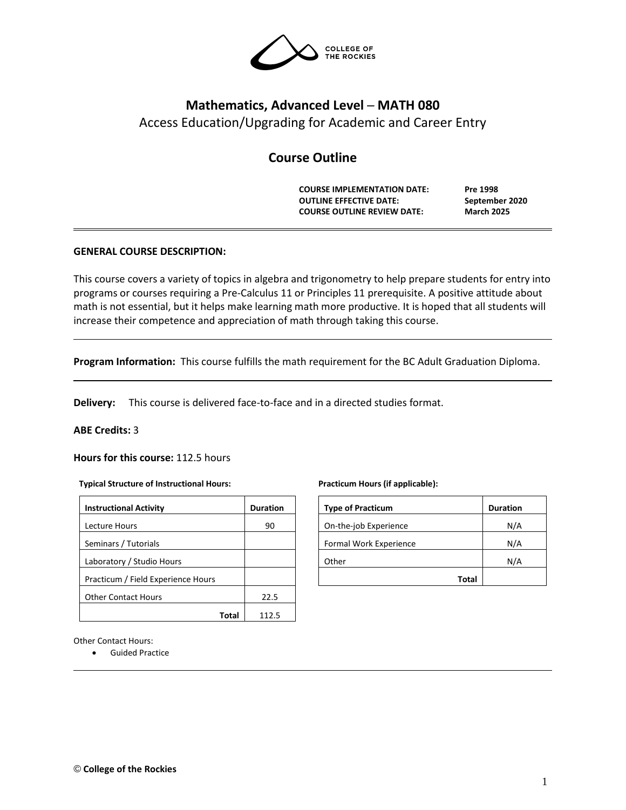

# **Mathematics, Advanced Level ─ MATH 080** Access Education/Upgrading for Academic and Career Entry

# **Course Outline**

**COURSE IMPLEMENTATION DATE: Pre 1998 OUTLINE EFFECTIVE DATE: September 2020 COURSE OUTLINE REVIEW DATE: March 2025**

# **GENERAL COURSE DESCRIPTION:**

This course covers a variety of topics in algebra and trigonometry to help prepare students for entry into programs or courses requiring a Pre-Calculus 11 or Principles 11 prerequisite. A positive attitude about math is not essential, but it helps make learning math more productive. It is hoped that all students will increase their competence and appreciation of math through taking this course.

**Program Information:** This course fulfills the math requirement for the BC Adult Graduation Diploma.

**Delivery:** This course is delivered face-to-face and in a directed studies format.

#### **ABE Credits:** 3

# **Hours for this course:** 112.5 hours

#### **Typical Structure of Instructional Hours:**

| <b>Instructional Activity</b>      | <b>Duration</b> |
|------------------------------------|-----------------|
| Lecture Hours                      | 90              |
| Seminars / Tutorials               |                 |
| Laboratory / Studio Hours          |                 |
| Practicum / Field Experience Hours |                 |
| <b>Other Contact Hours</b>         | 22.5            |
| Total                              | 1125            |

# **Practicum Hours (if applicable):**

| <b>Type of Practicum</b> | <b>Duration</b> |
|--------------------------|-----------------|
| On-the-job Experience    | N/A             |
| Formal Work Experience   | N/A             |
| Other                    | N/A             |
| Total                    |                 |

Other Contact Hours:

• Guided Practice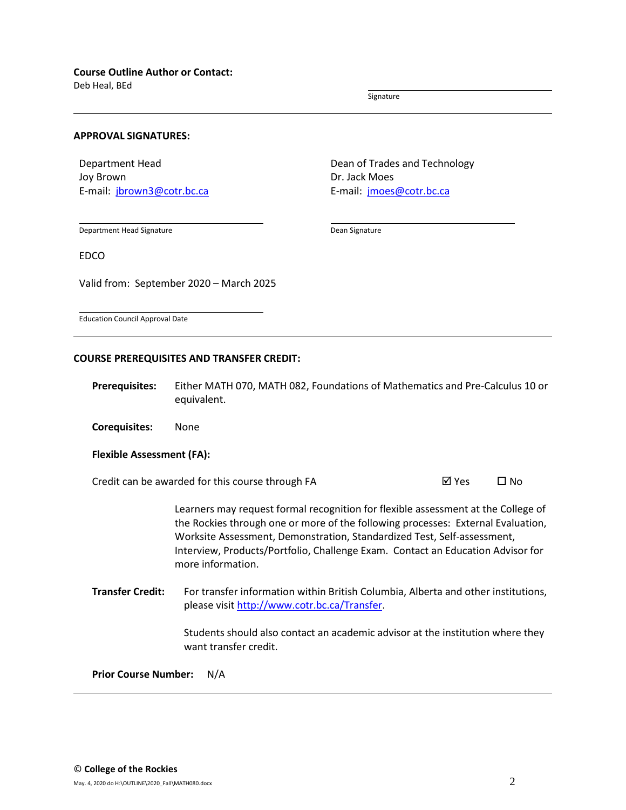Deb Heal, BEd

Signature

#### **APPROVAL SIGNATURES:**

Department Head Joy Brown E-mail: [jbrown3@cotr.bc.ca](mailto:jbrown3@cotr.bc.ca) Dean of Trades and Technology Dr. Jack Moes E-mail: *[jmoes@cotr.bc.ca](mailto:jmoes@cotr.bc.ca)* 

Department Head Signature

Dean Signature

EDCO

Valid from: September 2020 – March 2025

Education Council Approval Date

#### **COURSE PREREQUISITES AND TRANSFER CREDIT:**

**Prerequisites:** Either MATH 070, MATH 082, Foundations of Mathematics and Pre-Calculus 10 or equivalent.

**Corequisites:** None

#### **Flexible Assessment (FA):**

Credit can be awarded for this course through FA  $\boxtimes$  Yes  $\Box$  No

Learners may request formal recognition for flexible assessment at the College of the Rockies through one or more of the following processes: External Evaluation, Worksite Assessment, Demonstration, Standardized Test, Self-assessment, Interview, Products/Portfolio, Challenge Exam. Contact an Education Advisor for more information.

**Transfer Credit:** For transfer information within British Columbia, Alberta and other institutions, please visit [http://www.cotr.bc.ca/Transfer.](http://www.cotr.bc.ca/Transfer)

> Students should also contact an academic advisor at the institution where they want transfer credit.

**Prior Course Number:** N/A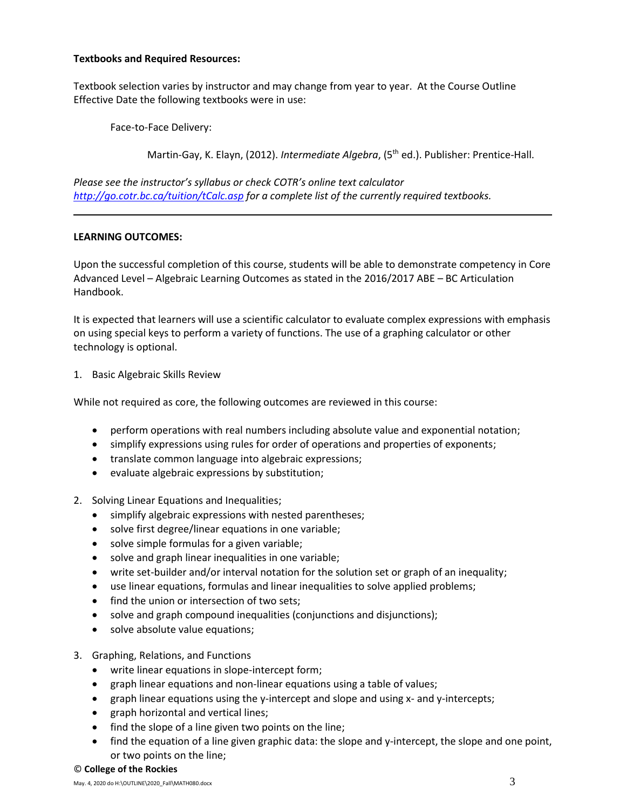# **Textbooks and Required Resources:**

Textbook selection varies by instructor and may change from year to year. At the Course Outline Effective Date the following textbooks were in use:

Face-to-Face Delivery:

Martin-Gay, K. Elayn, (2012). *Intermediate Algebra*, (5<sup>th</sup> ed.). Publisher: Prentice-Hall.

*Please see the instructor's syllabus or check COTR's online text calculator <http://go.cotr.bc.ca/tuition/tCalc.asp> for a complete list of the currently required textbooks.*

# **LEARNING OUTCOMES:**

Upon the successful completion of this course, students will be able to demonstrate competency in Core Advanced Level – Algebraic Learning Outcomes as stated in the 2016/2017 ABE – BC Articulation Handbook.

It is expected that learners will use a scientific calculator to evaluate complex expressions with emphasis on using special keys to perform a variety of functions. The use of a graphing calculator or other technology is optional.

1. Basic Algebraic Skills Review

While not required as core, the following outcomes are reviewed in this course:

- perform operations with real numbers including absolute value and exponential notation;
- simplify expressions using rules for order of operations and properties of exponents;
- translate common language into algebraic expressions;
- evaluate algebraic expressions by substitution;
- 2. Solving Linear Equations and Inequalities;
	- simplify algebraic expressions with nested parentheses;
	- solve first degree/linear equations in one variable;
	- solve simple formulas for a given variable;
	- solve and graph linear inequalities in one variable;
	- write set-builder and/or interval notation for the solution set or graph of an inequality;
	- use linear equations, formulas and linear inequalities to solve applied problems;
	- find the union or intersection of two sets;
	- solve and graph compound inequalities (conjunctions and disjunctions);
	- solve absolute value equations;
- 3. Graphing, Relations, and Functions
	- write linear equations in slope-intercept form;
	- graph linear equations and non-linear equations using a table of values;
	- graph linear equations using the y-intercept and slope and using x- and y-intercepts;
	- graph horizontal and vertical lines;
	- find the slope of a line given two points on the line;
	- find the equation of a line given graphic data: the slope and y-intercept, the slope and one point, or two points on the line;
- © **College of the Rockies**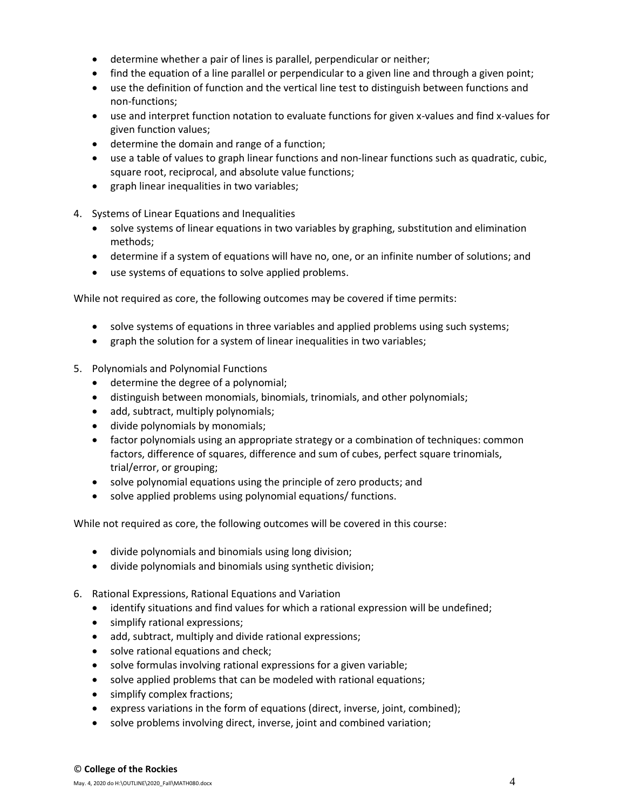- determine whether a pair of lines is parallel, perpendicular or neither;
- find the equation of a line parallel or perpendicular to a given line and through a given point;
- use the definition of function and the vertical line test to distinguish between functions and non-functions;
- use and interpret function notation to evaluate functions for given x-values and find x-values for given function values;
- determine the domain and range of a function;
- use a table of values to graph linear functions and non-linear functions such as quadratic, cubic, square root, reciprocal, and absolute value functions;
- graph linear inequalities in two variables;
- 4. Systems of Linear Equations and Inequalities
	- solve systems of linear equations in two variables by graphing, substitution and elimination methods;
	- determine if a system of equations will have no, one, or an infinite number of solutions; and
	- use systems of equations to solve applied problems.

While not required as core, the following outcomes may be covered if time permits:

- solve systems of equations in three variables and applied problems using such systems;
- graph the solution for a system of linear inequalities in two variables;
- 5. Polynomials and Polynomial Functions
	- determine the degree of a polynomial;
	- distinguish between monomials, binomials, trinomials, and other polynomials;
	- add, subtract, multiply polynomials;
	- divide polynomials by monomials;
	- factor polynomials using an appropriate strategy or a combination of techniques: common factors, difference of squares, difference and sum of cubes, perfect square trinomials, trial/error, or grouping;
	- solve polynomial equations using the principle of zero products; and
	- solve applied problems using polynomial equations/ functions.

While not required as core, the following outcomes will be covered in this course:

- divide polynomials and binomials using long division;
- divide polynomials and binomials using synthetic division;
- 6. Rational Expressions, Rational Equations and Variation
	- identify situations and find values for which a rational expression will be undefined;
	- simplify rational expressions;
	- add, subtract, multiply and divide rational expressions;
	- solve rational equations and check;
	- solve formulas involving rational expressions for a given variable;
	- solve applied problems that can be modeled with rational equations;
	- simplify complex fractions;
	- express variations in the form of equations (direct, inverse, joint, combined);
	- solve problems involving direct, inverse, joint and combined variation;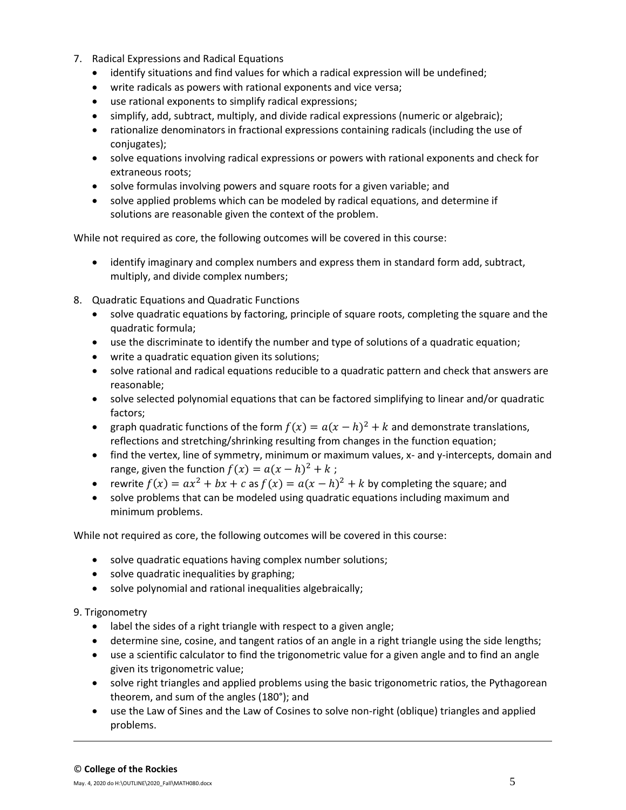- 7. Radical Expressions and Radical Equations
	- identify situations and find values for which a radical expression will be undefined;
	- write radicals as powers with rational exponents and vice versa;
	- use rational exponents to simplify radical expressions;
	- simplify, add, subtract, multiply, and divide radical expressions (numeric or algebraic);
	- rationalize denominators in fractional expressions containing radicals (including the use of conjugates);
	- solve equations involving radical expressions or powers with rational exponents and check for extraneous roots;
	- solve formulas involving powers and square roots for a given variable; and
	- solve applied problems which can be modeled by radical equations, and determine if solutions are reasonable given the context of the problem.

While not required as core, the following outcomes will be covered in this course:

- identify imaginary and complex numbers and express them in standard form add, subtract, multiply, and divide complex numbers;
- 8. Quadratic Equations and Quadratic Functions
	- solve quadratic equations by factoring, principle of square roots, completing the square and the quadratic formula;
	- use the discriminate to identify the number and type of solutions of a quadratic equation;
	- write a quadratic equation given its solutions;
	- solve rational and radical equations reducible to a quadratic pattern and check that answers are reasonable;
	- solve selected polynomial equations that can be factored simplifying to linear and/or quadratic factors;
	- graph quadratic functions of the form  $f(x) = a(x h)^2 + k$  and demonstrate translations, reflections and stretching/shrinking resulting from changes in the function equation;
	- find the vertex, line of symmetry, minimum or maximum values, x- and y-intercepts, domain and range, given the function  $f(x) = a(x - h)^2 + k$ ;
	- rewrite  $f(x) = ax^2 + bx + c$  as  $f(x) = a(x h)^2 + k$  by completing the square; and
	- solve problems that can be modeled using quadratic equations including maximum and minimum problems.

While not required as core, the following outcomes will be covered in this course:

- solve quadratic equations having complex number solutions;
- solve quadratic inequalities by graphing;
- solve polynomial and rational inequalities algebraically;

# 9. Trigonometry

- label the sides of a right triangle with respect to a given angle;
- determine sine, cosine, and tangent ratios of an angle in a right triangle using the side lengths;
- use a scientific calculator to find the trigonometric value for a given angle and to find an angle given its trigonometric value;
- solve right triangles and applied problems using the basic trigonometric ratios, the Pythagorean theorem, and sum of the angles (180°); and
- use the Law of Sines and the Law of Cosines to solve non-right (oblique) triangles and applied problems.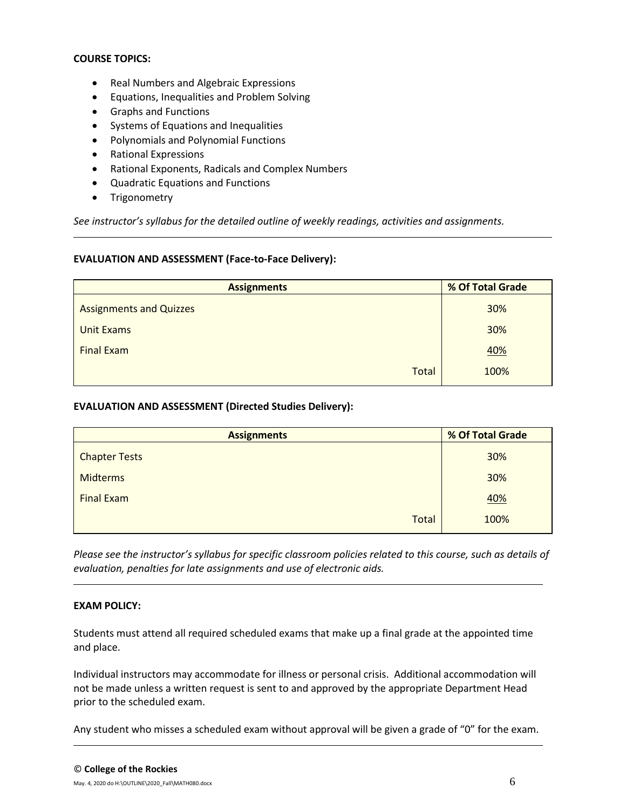# **COURSE TOPICS:**

- Real Numbers and Algebraic Expressions
- Equations, Inequalities and Problem Solving
- Graphs and Functions
- Systems of Equations and Inequalities
- Polynomials and Polynomial Functions
- Rational Expressions
- Rational Exponents, Radicals and Complex Numbers
- Quadratic Equations and Functions
- Trigonometry

*See instructor's syllabus for the detailed outline of weekly readings, activities and assignments.* 

#### **EVALUATION AND ASSESSMENT (Face-to-Face Delivery):**

| <b>Assignments</b>             | % Of Total Grade |  |  |
|--------------------------------|------------------|--|--|
| <b>Assignments and Quizzes</b> | 30%              |  |  |
| <b>Unit Exams</b>              | 30%              |  |  |
| <b>Final Exam</b>              | <b>40%</b>       |  |  |
| <b>Total</b>                   | 100%             |  |  |

#### **EVALUATION AND ASSESSMENT (Directed Studies Delivery):**

| <b>Assignments</b>   | % Of Total Grade |  |  |
|----------------------|------------------|--|--|
| <b>Chapter Tests</b> | 30%              |  |  |
| <b>Midterms</b>      | 30%              |  |  |
| <b>Final Exam</b>    | 40%              |  |  |
| <b>Total</b>         | 100%             |  |  |

*Please see the instructor's syllabus for specific classroom policies related to this course, such as details of evaluation, penalties for late assignments and use of electronic aids.*

#### **EXAM POLICY:**

Students must attend all required scheduled exams that make up a final grade at the appointed time and place.

Individual instructors may accommodate for illness or personal crisis. Additional accommodation will not be made unless a written request is sent to and approved by the appropriate Department Head prior to the scheduled exam.

Any student who misses a scheduled exam without approval will be given a grade of "0" for the exam.